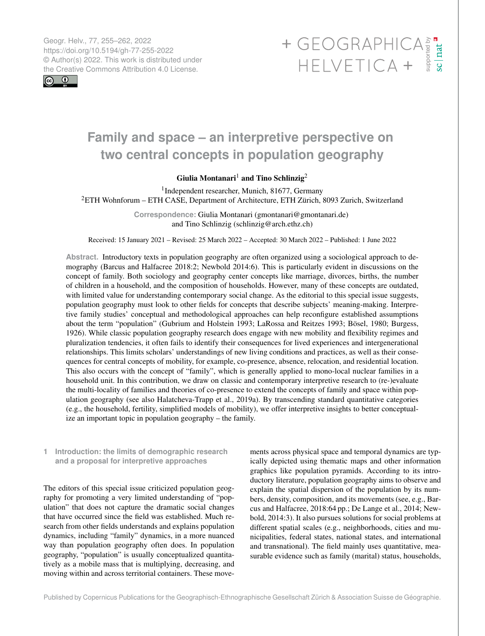Geogr. Helv., 77, 255–262, 2022 https://doi.org/10.5194/gh-77-255-2022 © Author(s) 2022. This work is distributed under

 $\boxed{6}$   $\boxed{0}$ 

# Geogr. Helv., 77, 255–262, 2022<br>https://doi.org/10.5194/gh-77-255-2022<br>
© Author(s) 2022. This work is distributed under<br>
the Creative Commons Attribution 4.0 License.<br>
HELVETICA +

# **Family and space – an interpretive perspective on two central concepts in population geography**

## Giulia Montanari<sup>[1](#page-0-0)</sup> and Tino Schlinzig<sup>[2](#page-0-0)</sup>

1 Independent researcher, Munich, 81677, Germany <sup>2</sup>ETH Wohnforum – ETH CASE, Department of Architecture, ETH Zürich, 8093 Zurich, Switzerland

> **Correspondence:** Giulia Montanari (gmontanari@gmontanari.de) and Tino Schlinzig (schlinzig@arch.ethz.ch)

Received: 15 January 2021 – Revised: 25 March 2022 – Accepted: 30 March 2022 – Published: 1 June 2022

**Abstract.** Introductory texts in population geography are often organized using a sociological approach to demography (Barcus and Halfacree 2018:2; Newbold 2014:6). This is particularly evident in discussions on the concept of family. Both sociology and geography center concepts like marriage, divorces, births, the number of children in a household, and the composition of households. However, many of these concepts are outdated, with limited value for understanding contemporary social change. As the editorial to this special issue suggests, population geography must look to other fields for concepts that describe subjects' meaning-making. Interpretive family studies' conceptual and methodological approaches can help reconfigure established assumptions about the term "population" (Gubrium and Holstein 1993; LaRossa and Reitzes 1993; Bösel, 1980; Burgess, 1926). While classic population geography research does engage with new mobility and flexibility regimes and pluralization tendencies, it often fails to identify their consequences for lived experiences and intergenerational relationships. This limits scholars' understandings of new living conditions and practices, as well as their consequences for central concepts of mobility, for example, co-presence, absence, relocation, and residential location. This also occurs with the concept of "family", which is generally applied to mono-local nuclear families in a household unit. In this contribution, we draw on classic and contemporary interpretive research to (re-)evaluate the multi-locality of families and theories of co-presence to extend the concepts of family and space within population geography (see also Halatcheva-Trapp et al., 2019a). By transcending standard quantitative categories (e.g., the household, fertility, simplified models of mobility), we offer interpretive insights to better conceptualize an important topic in population geography – the family.

<span id="page-0-0"></span>**1 Introduction: the limits of demographic research and a proposal for interpretive approaches**

The editors of this special issue criticized population geography for promoting a very limited understanding of "population" that does not capture the dramatic social changes that have occurred since the field was established. Much research from other fields understands and explains population dynamics, including "family" dynamics, in a more nuanced way than population geography often does. In population geography, "population" is usually conceptualized quantitatively as a mobile mass that is multiplying, decreasing, and moving within and across territorial containers. These movements across physical space and temporal dynamics are typically depicted using thematic maps and other information graphics like population pyramids. According to its introductory literature, population geography aims to observe and explain the spatial dispersion of the population by its numbers, density, composition, and its movements (see, e.g., Barcus and Halfacree, 2018:64 pp.; De Lange et al., 2014; Newbold, 2014:3). It also pursues solutions for social problems at different spatial scales (e.g., neighborhoods, cities and municipalities, federal states, national states, and international and transnational). The field mainly uses quantitative, measurable evidence such as family (marital) status, households,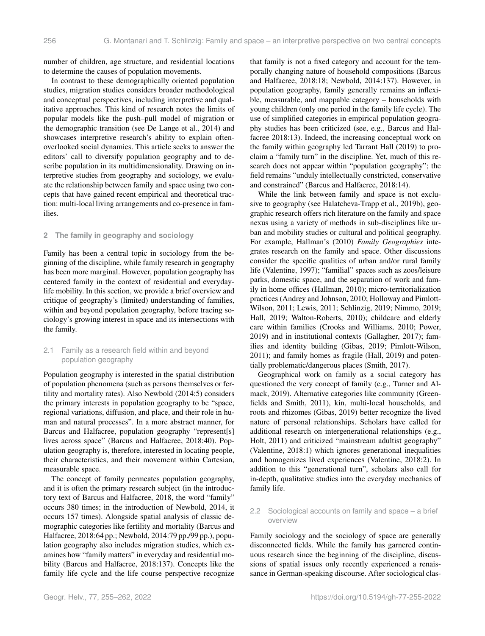number of children, age structure, and residential locations to determine the causes of population movements.

In contrast to these demographically oriented population studies, migration studies considers broader methodological and conceptual perspectives, including interpretive and qualitative approaches. This kind of research notes the limits of popular models like the push–pull model of migration or the demographic transition (see De Lange et al., 2014) and showcases interpretive research's ability to explain oftenoverlooked social dynamics. This article seeks to answer the editors' call to diversify population geography and to describe population in its multidimensionality. Drawing on interpretive studies from geography and sociology, we evaluate the relationship between family and space using two concepts that have gained recent empirical and theoretical traction: multi-local living arrangements and co-presence in families.

#### **2 The family in geography and sociology**

Family has been a central topic in sociology from the beginning of the discipline, while family research in geography has been more marginal. However, population geography has centered family in the context of residential and everydaylife mobility. In this section, we provide a brief overview and critique of geography's (limited) understanding of families, within and beyond population geography, before tracing sociology's growing interest in space and its intersections with the family.

#### 2.1 Family as a research field within and beyond population geography

Population geography is interested in the spatial distribution of population phenomena (such as persons themselves or fertility and mortality rates). Also Newbold (2014:5) considers the primary interests in population geography to be "space, regional variations, diffusion, and place, and their role in human and natural processes". In a more abstract manner, for Barcus and Halfacree, population geography "represent[s] lives across space" (Barcus and Halfacree, 2018:40). Population geography is, therefore, interested in locating people, their characteristics, and their movement within Cartesian, measurable space.

The concept of family permeates population geography, and it is often the primary research subject (in the introductory text of Barcus and Halfacree, 2018, the word "family" occurs 380 times; in the introduction of Newbold, 2014, it occurs 157 times). Alongside spatial analysis of classic demographic categories like fertility and mortality (Barcus and Halfacree, 2018:64 pp.; Newbold, 2014:79 pp./99 pp.), population geography also includes migration studies, which examines how "family matters" in everyday and residential mobility (Barcus and Halfacree, 2018:137). Concepts like the family life cycle and the life course perspective recognize that family is not a fixed category and account for the temporally changing nature of household compositions (Barcus and Halfacree, 2018:18; Newbold, 2014:137). However, in population geography, family generally remains an inflexible, measurable, and mappable category – households with young children (only one period in the family life cycle). The use of simplified categories in empirical population geography studies has been criticized (see, e.g., Barcus and Halfacree 2018:13). Indeed, the increasing conceptual work on the family within geography led Tarrant Hall (2019) to proclaim a "family turn" in the discipline. Yet, much of this research does not appear within "population geography"; the field remains "unduly intellectually constricted, conservative and constrained" (Barcus and Halfacree, 2018:14).

While the link between family and space is not exclusive to geography (see Halatcheva-Trapp et al., 2019b), geographic research offers rich literature on the family and space nexus using a variety of methods in sub-disciplines like urban and mobility studies or cultural and political geography. For example, Hallman's (2010) *Family Geographies* integrates research on the family and space. Other discussions consider the specific qualities of urban and/or rural family life (Valentine, 1997); "familial" spaces such as zoos/leisure parks, domestic space, and the separation of work and family in home offices (Hallman, 2010); micro-territorialization practices (Andrey and Johnson, 2010; Holloway and Pimlott-Wilson, 2011; Lewis, 2011; Schlinzig, 2019; Nimmo, 2019; Hall, 2019; Walton-Roberts, 2010); childcare and elderly care within families (Crooks and Williams, 2010; Power, 2019) and in institutional contexts (Gallagher, 2017); families and identity building (Gibas, 2019; Pimlott-Wilson, 2011); and family homes as fragile (Hall, 2019) and potentially problematic/dangerous places (Smith, 2017).

Geographical work on family as a social category has questioned the very concept of family (e.g., Turner and Almack, 2019). Alternative categories like community (Greenfields and Smith, 2011), kin, multi-local households, and roots and rhizomes (Gibas, 2019) better recognize the lived nature of personal relationships. Scholars have called for additional research on intergenerational relationships (e.g., Holt, 2011) and criticized "mainstream adultist geography" (Valentine, 2018:1) which ignores generational inequalities and homogenizes lived experiences (Valentine, 2018:2). In addition to this "generational turn", scholars also call for in-depth, qualitative studies into the everyday mechanics of family life.

#### 2.2 Sociological accounts on family and space – a brief overview

Family sociology and the sociology of space are generally disconnected fields. While the family has garnered continuous research since the beginning of the discipline, discussions of spatial issues only recently experienced a renaissance in German-speaking discourse. After sociological clas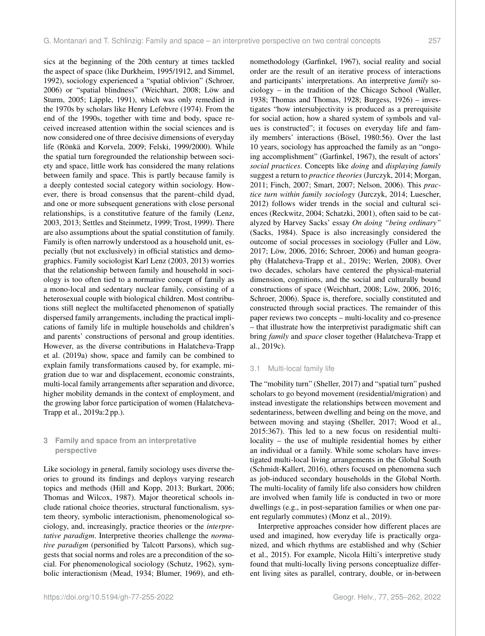sics at the beginning of the 20th century at times tackled the aspect of space (like Durkheim, 1995/1912, and Simmel, 1992), sociology experienced a "spatial oblivion" (Schroer, 2006) or "spatial blindness" (Weichhart, 2008; Löw and Sturm, 2005; Läpple, 1991), which was only remedied in the 1970s by scholars like Henry Lefebvre (1974). From the end of the 1990s, together with time and body, space received increased attention within the social sciences and is now considered one of three decisive dimensions of everyday life (Rönkä and Korvela, 2009; Felski, 1999/2000). While the spatial turn foregrounded the relationship between society and space, little work has considered the many relations between family and space. This is partly because family is a deeply contested social category within sociology. However, there is broad consensus that the parent–child dyad, and one or more subsequent generations with close personal relationships, is a constitutive feature of the family (Lenz, 2003, 2013; Settles and Steinmetz, 1999; Trost, 1999). There are also assumptions about the spatial constitution of family. Family is often narrowly understood as a household unit, especially (but not exclusively) in official statistics and demographics. Family sociologist Karl Lenz (2003, 2013) worries that the relationship between family and household in sociology is too often tied to a normative concept of family as a mono-local and sedentary nuclear family, consisting of a heterosexual couple with biological children. Most contributions still neglect the multifaceted phenomenon of spatially dispersed family arrangements, including the practical implications of family life in multiple households and children's and parents' constructions of personal and group identities. However, as the diverse contributions in Halatcheva-Trapp et al. (2019a) show, space and family can be combined to explain family transformations caused by, for example, migration due to war and displacement, economic constraints, multi-local family arrangements after separation and divorce, higher mobility demands in the context of employment, and the growing labor force participation of women (Halatcheva-Trapp et al., 2019a:2 pp.).

#### **3 Family and space from an interpretative perspective**

Like sociology in general, family sociology uses diverse theories to ground its findings and deploys varying research topics and methods (Hill and Kopp, 2013; Burkart, 2006; Thomas and Wilcox, 1987). Major theoretical schools include rational choice theories, structural functionalism, system theory, symbolic interactionism, phenomenological sociology, and, increasingly, practice theories or the *interpretative paradigm*. Interpretive theories challenge the *normative paradigm* (personified by Talcott Parsons), which suggests that social norms and roles are a precondition of the social. For phenomenological sociology (Schutz, 1962), symbolic interactionism (Mead, 1934; Blumer, 1969), and ethnomethodology (Garfinkel, 1967), social reality and social order are the result of an iterative process of interactions and participants' interpretations. An interpretive *family* sociology – in the tradition of the Chicago School (Waller, 1938; Thomas and Thomas, 1928; Burgess, 1926) – investigates "how intersubjectivity is produced as a prerequisite for social action, how a shared system of symbols and values is constructed"; it focuses on everyday life and family members' interactions (Bösel, 1980:56). Over the last 10 years, sociology has approached the family as an "ongoing accomplishment" (Garfinkel, 1967), the result of actors' *social practices*. Concepts like *doing* and *displaying family* suggest a return to *practice theories* (Jurczyk, 2014; Morgan, 2011; Finch, 2007; Smart, 2007; Nelson, 2006). This *practice turn within family sociology* (Jurczyk, 2014; Luescher, 2012) follows wider trends in the social and cultural sciences (Reckwitz, 2004; Schatzki, 2001), often said to be catalyzed by Harvey Sacks' essay *On doing "being ordinary"* (Sacks, 1984). Space is also increasingly considered the outcome of social processes in sociology (Fuller and Löw, 2017; Löw, 2006, 2016; Schroer, 2006) and human geography (Halatcheva-Trapp et al., 2019c; Werlen, 2008). Over two decades, scholars have centered the physical-material dimension, cognitions, and the social and culturally bound constructions of space (Weichhart, 2008; Löw, 2006, 2016; Schroer, 2006). Space is, therefore, socially constituted and constructed through social practices. The remainder of this paper reviews two concepts – multi-locality and co-presence – that illustrate how the interpretivist paradigmatic shift can bring *family* and *space* closer together (Halatcheva-Trapp et al., 2019c).

#### 3.1 Multi-local family life

The "mobility turn" (Sheller, 2017) and "spatial turn" pushed scholars to go beyond movement (residential/migration) and instead investigate the relationships between movement and sedentariness, between dwelling and being on the move, and between moving and staying (Sheller, 2017; Wood et al., 2015:367). This led to a new focus on residential multilocality – the use of multiple residential homes by either an individual or a family. While some scholars have investigated multi-local living arrangements in the Global South (Schmidt-Kallert, 2016), others focused on phenomena such as job-induced secondary households in the Global North. The multi-locality of family life also considers how children are involved when family life is conducted in two or more dwellings (e.g., in post-separation families or when one parent regularly commutes) (Monz et al., 2019).

Interpretive approaches consider how different places are used and imagined, how everyday life is practically organized, and which rhythms are established and why (Schier et al., 2015). For example, Nicola Hilti's interpretive study found that multi-locally living persons conceptualize different living sites as parallel, contrary, double, or in-between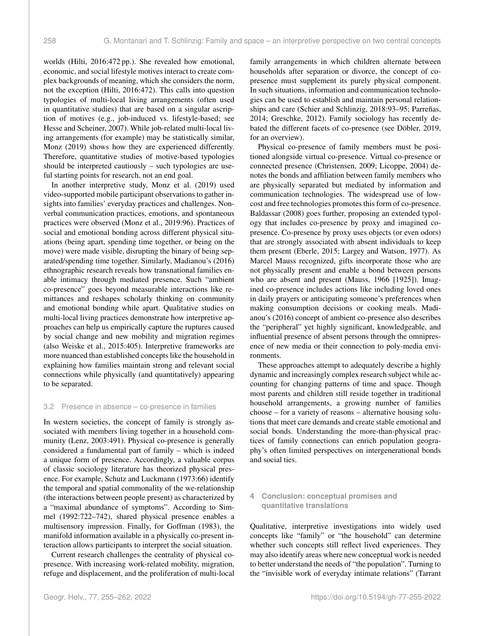worlds (Hilti, 2016:472 pp.). She revealed how emotional, economic, and social lifestyle motives interact to create complex backgrounds of meaning, which she considers the norm, not the exception (Hilti, 2016:472). This calls into question typologies of multi-local living arrangements (often used in quantitative studies) that are based on a singular ascription of motives (e.g., job-induced vs. lifestyle-based; see Hesse and Scheiner, 2007). While job-related multi-local living arrangements (for example) may be statistically similar, Monz (2019) shows how they are experienced differently. Therefore, quantitative studies of motive-based typologies should be interpreted cautiously – such typologies are useful starting points for research, not an end goal.

In another interpretive study, Monz et al. (2019) used video-supported mobile participant observations to gather insights into families' everyday practices and challenges. Nonverbal communication practices, emotions, and spontaneous practices were observed (Monz et al., 2019:96). Practices of social and emotional bonding across different physical situations (being apart, spending time together, or being on the move) were made visible, disrupting the binary of being separated/spending time together. Similarly, Madianou's (2016) ethnographic research reveals how transnational families enable intimacy through mediated presence. Such "ambient co-presence" goes beyond measurable interactions like remittances and reshapes scholarly thinking on community and emotional bonding while apart. Qualitative studies on multi-local living practices demonstrate how interpretive approaches can help us empirically capture the ruptures caused by social change and new mobility and migration regimes (also Weiske et al., 2015:405). Interpretive frameworks are more nuanced than established concepts like the household in explaining how families maintain strong and relevant social connections while physically (and quantitatively) appearing to be separated.

#### 3.2 Presence in absence – co-presence in families

In western societies, the concept of family is strongly associated with members living together in a household community (Lenz, 2003:491). Physical co-presence is generally considered a fundamental part of family – which is indeed a unique form of presence. Accordingly, a valuable corpus of classic sociology literature has theorized physical presence. For example, Schutz and Luckmann (1973:66) identify the temporal and spatial commonality of the we-relationship (the interactions between people present) as characterized by a "maximal abundance of symptoms". According to Simmel (1992:722–742), shared physical presence enables a multisensory impression. Finally, for Goffman (1983), the manifold information available in a physically co-present interaction allows participants to interpret the social situation.

Current research challenges the centrality of physical copresence. With increasing work-related mobility, migration, refuge and displacement, and the proliferation of multi-local family arrangements in which children alternate between households after separation or divorce, the concept of copresence must supplement its purely physical component. In such situations, information and communication technologies can be used to establish and maintain personal relationships and care (Schier and Schlinzig, 2018:93–95; Parreñas, 2014; Greschke, 2012). Family sociology has recently debated the different facets of co-presence (see Döbler, 2019, for an overview).

Physical co-presence of family members must be positioned alongside virtual co-presence. Virtual co-presence or connected presence (Christensen, 2009; Licoppe, 2004) denotes the bonds and affiliation between family members who are physically separated but mediated by information and communication technologies. The widespread use of lowcost and free technologies promotes this form of co-presence. Baldassar (2008) goes further, proposing an extended typology that includes co-presence by proxy and imagined copresence. Co-presence by proxy uses objects (or even odors) that are strongly associated with absent individuals to keep them present (Eberle, 2015; Largey and Watson, 1977). As Marcel Mauss recognized, gifts incorporate those who are not physically present and enable a bond between persons who are absent and present (Mauss, 1966 [1925]). Imagined co-presence includes actions like including loved ones in daily prayers or anticipating someone's preferences when making consumption decisions or cooking meals. Madianou's (2016) concept of ambient co-presence also describes the "peripheral" yet highly significant, knowledgeable, and influential presence of absent persons through the omnipresence of new media or their connection to poly-media environments.

These approaches attempt to adequately describe a highly dynamic and increasingly complex research subject while accounting for changing patterns of time and space. Though most parents and children still reside together in traditional household arrangements, a growing number of families choose – for a variety of reasons – alternative housing solutions that meet care demands and create stable emotional and social bonds. Understanding the more-than-physical practices of family connections can enrich population geography's often limited perspectives on intergenerational bonds and social ties.

### **4 Conclusion: conceptual promises and quantitative translations**

Qualitative, interpretive investigations into widely used concepts like "family" or "the household" can determine whether such concepts still reflect lived experiences. They may also identify areas where new conceptual work is needed to better understand the needs of "the population". Turning to the "invisible work of everyday intimate relations" (Tarrant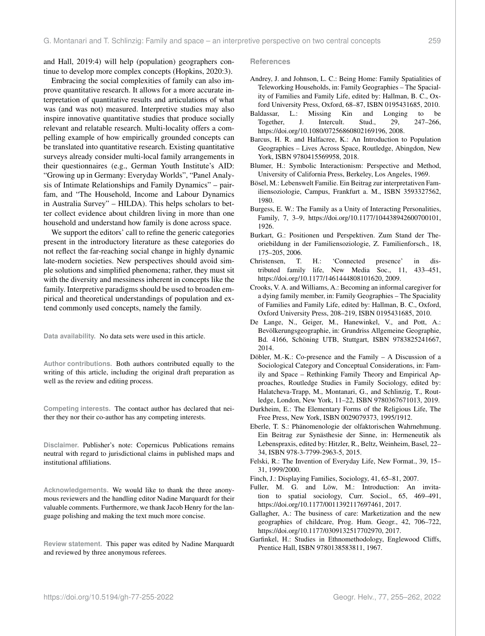and Hall, 2019:4) will help (population) geographers continue to develop more complex concepts (Hopkins, 2020:3).

Embracing the social complexities of family can also improve quantitative research. It allows for a more accurate interpretation of quantitative results and articulations of what was (and was not) measured. Interpretive studies may also inspire innovative quantitative studies that produce socially relevant and relatable research. Multi-locality offers a compelling example of how empirically grounded concepts can be translated into quantitative research. Existing quantitative surveys already consider multi-local family arrangements in their questionnaires (e.g., German Youth Institute's AID: "Growing up in Germany: Everyday Worlds", "Panel Analysis of Intimate Relationships and Family Dynamics" – pairfam, and "The Household, Income and Labour Dynamics in Australia Survey" – HILDA). This helps scholars to better collect evidence about children living in more than one household and understand how family is done across space.

We support the editors' call to refine the generic categories present in the introductory literature as these categories do not reflect the far-reaching social change in highly dynamic late-modern societies. New perspectives should avoid simple solutions and simplified phenomena; rather, they must sit with the diversity and messiness inherent in concepts like the family. Interpretive paradigms should be used to broaden empirical and theoretical understandings of population and extend commonly used concepts, namely the family.

**Data availability.** No data sets were used in this article.

**Author contributions.** Both authors contributed equally to the writing of this article, including the original draft preparation as well as the review and editing process.

**Competing interests.** The contact author has declared that neither they nor their co-author has any competing interests.

**Disclaimer.** Publisher's note: Copernicus Publications remains neutral with regard to jurisdictional claims in published maps and institutional affiliations.

**Acknowledgements.** We would like to thank the three anonymous reviewers and the handling editor Nadine Marquardt for their valuable comments. Furthermore, we thank Jacob Henry for the language polishing and making the text much more concise.

**Review statement.** This paper was edited by Nadine Marquardt and reviewed by three anonymous referees.

#### **References**

- Andrey, J. and Johnson, L. C.: Being Home: Family Spatialities of Teleworking Households, in: Family Geographies – The Spaciality of Families and Family Life, edited by: Hallman, B. C., Oxford University Press, Oxford, 68–87, ISBN 0195431685, 2010.
- Baldassar, L.: Missing Kin and Longing to be Together, J. Intercult. Stud., 29, 247–266, https://doi.org[/10.1080/07256860802169196,](https://doi.org/10.1080/07256860802169196) 2008.
- Barcus, H. R. and Halfacree, K.: An Introduction to Population Geographies – Lives Across Space, Routledge, Abingdon, New York, ISBN 9780415569958, 2018.
- Blumer, H.: Symbolic Interactionism: Perspective and Method, University of California Press, Berkeley, Los Angeles, 1969.
- Bösel, M.: Lebenswelt Familie. Ein Beitrag zur interpretativen Familiensoziologie, Campus, Frankfurt a. M., ISBN 3593327562, 1980.
- Burgess, E. W.: The Family as a Unity of Interacting Personalities, Family, 7, 3–9, https://doi.org[/10.1177/104438942600700101,](https://doi.org/10.1177/104438942600700101) 1926.
- Burkart, G.: Positionen und Perspektiven. Zum Stand der Theoriebildung in der Familiensoziologie, Z. Familienforsch., 18, 175–205, 2006.
- Christensen, T. H.: 'Connected presence' in distributed family life, New Media Soc., 11, 433–451, https://doi.org[/10.1177/1461444808101620,](https://doi.org/10.1177/1461444808101620) 2009.
- Crooks, V. A. and Williams, A.: Becoming an informal caregiver for a dying family member, in: Family Geographies – The Spaciality of Families and Family Life, edited by: Hallman, B. C., Oxford, Oxford University Press, 208–219, ISBN 0195431685, 2010.
- De Lange, N., Geiger, M., Hanewinkel, V., and Pott, A.: Bevölkerungsgeographie, in: Grundriss Allgemeine Geographie, Bd. 4166, Schöning UTB, Stuttgart, ISBN 9783825241667, 2014.
- Döbler, M.-K.: Co-presence and the Family A Discussion of a Sociological Category and Conceptual Considerations, in: Family and Space – Rethinking Family Theory and Empirical Approaches, Routledge Studies in Family Sociology, edited by: Halatcheva-Trapp, M., Montanari, G., and Schlinzig, T., Routledge, London, New York, 11–22, ISBN 9780367671013, 2019.
- Durkheim, E.: The Elementary Forms of the Religious Life, The Free Press, New York, ISBN 0029079373, 1995/1912.
- Eberle, T. S.: Phänomenologie der olfaktorischen Wahrnehmung. Ein Beitrag zur Synästhesie der Sinne, in: Hermeneutik als Lebenspraxis, edited by: Hitzler, R., Beltz, Weinheim, Basel, 22– 34, ISBN 978-3-7799-2963-5, 2015.
- Felski, R.: The Invention of Everyday Life, New Format., 39, 15– 31, 1999/2000.
- Finch, J.: Displaying Families, Sociology, 41, 65–81, 2007.
- Fuller, M. G. and Löw, M.: Introduction: An invitation to spatial sociology, Curr. Sociol., 65, 469–491, https://doi.org[/10.1177/0011392117697461,](https://doi.org/10.1177/0011392117697461) 2017.
- Gallagher, A.: The business of care: Marketization and the new geographies of childcare, Prog. Hum. Geogr., 42, 706–722, https://doi.org[/10.1177/0309132517702970,](https://doi.org/10.1177/0309132517702970) 2017.
- Garfinkel, H.: Studies in Ethnomethodology, Englewood Cliffs, Prentice Hall, ISBN 9780138583811, 1967.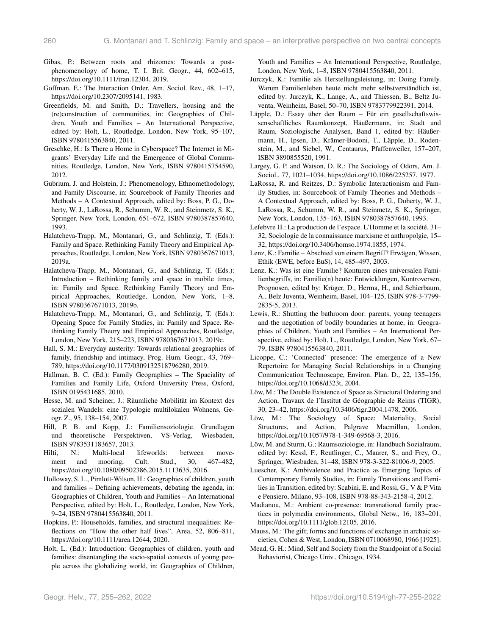- Gibas, P.: Between roots and rhizomes: Towards a postphenomenology of home, T. I. Brit. Geogr., 44, 602–615, https://doi.org[/10.1111/tran.12304,](https://doi.org/10.1111/tran.12304) 2019.
- Goffman, E.: The Interaction Order, Am. Sociol. Rev., 48, 1–17, https://doi.org[/10.2307/2095141,](https://doi.org/10.2307/2095141) 1983.
- Greenfields, M. and Smith, D.: Travellers, housing and the (re)construction of communities, in: Geographies of Children, Youth and Families – An International Perspective, edited by: Holt, L., Routledge, London, New York, 95–107, ISBN 9780415563840, 2011.
- Greschke, H.: Is There a Home in Cyberspace? The Internet in Migrants' Everyday Life and the Emergence of Global Communities, Routledge, London, New York, ISBN 9780415754590, 2012.
- Gubrium, J. and Holstein, J.: Phenomenology, Ethnomethodology, and Family Discourse, in: Sourcebook of Family Theories and Methods – A Contextual Approach, edited by: Boss, P. G., Doherty, W. J., LaRossa, R., Schumm, W. R., and Steinmetz, S. K., Springer, New York, London, 651–672, ISBN 9780387857640, 1993.
- Halatcheva-Trapp, M., Montanari, G., and Schlinzig, T. (Eds.): Family and Space. Rethinking Family Theory and Empirical Approaches, Routledge, London, New York, ISBN 9780367671013, 2019a.
- Halatcheva-Trapp, M., Montanari, G., and Schlinzig, T. (Eds.): Introduction – Rethinking family and space in mobile times, in: Family and Space. Rethinking Family Theory and Empirical Approaches, Routledge, London, New York, 1–8, ISBN 9780367671013, 2019b.
- Halatcheva-Trapp, M., Montanari, G., and Schlinzig, T. (Eds.): Opening Space for Family Studies, in: Family and Space. Rethinking Family Theory and Empirical Approaches, Routledge, London, New York, 215–223, ISBN 9780367671013, 2019c.
- Hall, S. M.: Everyday austerity: Towards relational geographies of family, friendship and intimacy, Prog. Hum. Geogr., 43, 769– 789, https://doi.org[/10.1177/0309132518796280,](https://doi.org/10.1177/0309132518796280) 2019.
- Hallman, B. C. (Ed.): Family Geographies The Spaciality of Families and Family Life, Oxford University Press, Oxford, ISBN 0195431685, 2010.
- Hesse, M. and Scheiner, J.: Räumliche Mobilität im Kontext des sozialen Wandels: eine Typologie multilokalen Wohnens, Geogr. Z., 95, 138–154, 2007.
- Hill, P. B. and Kopp, J.: Familiensoziologie. Grundlagen und theoretische Perspektiven, VS-Verlag, Wiesbaden, ISBN 9783531183657, 2013.
- Hilti, N.: Multi-local lifeworlds: between movement and mooring, Cult. Stud., 30, 467–482, https://doi.org[/10.1080/09502386.2015.1113635,](https://doi.org/10.1080/09502386.2015.1113635) 2016.
- Holloway, S. L., Pimlott-Wilson, H.: Geographies of children, youth and families – Defining achievements, debating the agenda, in: Geographies of Children, Youth and Families – An International Perspective, edited by: Holt, L., Routledge, London, New York, 9–24, ISBN 9780415563840, 2011.
- Hopkins, P.: Households, families, and structural inequalities: Reflections on "How the other half lives", Area, 52, 806–811, https://doi.org[/10.1111/area.12644,](https://doi.org/10.1111/area.12644) 2020.
- Holt, L. (Ed.): Introduction: Geographies of children, youth and families: disentangling the socio-spatial contexts of young people across the globalizing world, in: Geographies of Children,

Youth and Families – An International Perspective, Routledge, London, New York, 1–8, ISBN 9780415563840, 2011.

- Jurczyk, K.: Familie als Herstellungsleistung, in: Doing Family. Warum Familienleben heute nicht mehr selbstverständlich ist, edited by: Jurczyk, K., Lange, A., and Thiessen, B., Beltz Juventa, Weinheim, Basel, 50–70, ISBN 9783779922391, 2014.
- Läpple, D.: Essay über den Raum Für ein gesellschaftswissenschaftliches Raumkonzept, Häußermann, in: Stadt und Raum, Soziologische Analysen, Band 1, edited by: Häußermann, H., Ipsen, D., Krämer-Bodoni, T., Läpple, D., Rodenstein, M., and Siebel, W., Centaurus, Pfaffenweiler, 157–207, ISBN 3890855520, 1991.
- Largey, G. P. and Watson, D. R.: The Sociology of Odors, Am. J. Sociol., 77, 1021–1034, https://doi.org[/10.1086/225257,](https://doi.org/10.1086/225257) 1977.
- LaRossa, R. and Reitzes, D.: Symbolic Interactionism and Family Studies, in: Sourcebook of Family Theories and Methods – A Contextual Approach, edited by: Boss, P. G., Doherty, W. J., LaRossa, R., Schumm, W. R., and Steinmetz, S. K., Springer, New York, London, 135–163, ISBN 9780387857640, 1993.
- Lefebvre H.: La production de l'espace. L'Homme et la société, 31– 32, Sociologie de la connaissance marxisme et anthropolgie, 15– 32, https://doi.org[/10.3406/homso.1974.1855,](https://doi.org/10.3406/homso.1974.1855) 1974.
- Lenz, K.: Familie Abschied von einem Begriff? Erwägen, Wissen, Ethik (EWE, before EuS), 14, 485–497, 2003.
- Lenz, K.: Was ist eine Familie? Konturen eines universalen Familienbegriffs, in: Familie(n) heute: Entwicklungen, Kontroversen, Prognosen, edited by: Krüger, D., Herma, H., and Schierbaum, A., Belz Juventa, Weinheim, Basel, 104–125, ISBN 978-3-7799- 2835-5, 2013.
- Lewis, R.: Shutting the bathroom door: parents, young teenagers and the negotiation of bodily boundaries at home, in: Geographies of Children, Youth and Families – An International Perspective, edited by: Holt, L., Routledge, London, New York, 67– 79, ISBN 9780415563840, 2011.
- Licoppe, C.: 'Connected' presence: The emergence of a New Repertoire for Managing Social Relationships in a Changing Communication Technoscape, Environ. Plan. D., 22, 135–156, https://doi.org[/10.1068/d323t,](https://doi.org/10.1068/d323t) 2004.
- Löw, M.: The Double Existence of Space as Structural Ordering and Action, Travaux de l'Institut de Géographie de Reims (TIGR), 30, 23–42, https://doi.org[/10.3406/tigr.2004.1478,](https://doi.org/10.3406/tigr.2004.1478) 2006.
- Löw, M.: The Sociology of Space: Materiality, Social Structures, and Action, Palgrave Macmillan, London, https://doi.org[/10.1057/978-1-349-69568-3,](https://doi.org/10.1057/978-1-349-69568-3) 2016.
- Löw, M. and Sturm, G.: Raumsoziologie, in: Handbuch Sozialraum, edited by: Kessl, F., Reutlinger, C., Maurer, S., and Frey, O., Springer, Wiesbaden, 31–48, ISBN 978-3-322-81006-9, 2005.
- Luescher, K.: Ambivalence and Practice as Emerging Topics of Contemporary Family Studies, in: Family Transitions and Families in Transition, edited by: Scabini, E. and Rossi, G., V & P Vita e Pensiero, Milano, 93–108, ISBN 978-88-343-2158-4, 2012.
- Madianou, M.: Ambient co-presence: transnational family practices in polymedia environments, Global Netw., 16, 183–201, https://doi.org[/10.1111/glob.12105,](https://doi.org/10.1111/glob.12105) 2016.
- Mauss, M.: The gift; forms and functions of exchange in archaic societies, Cohen & West, London, ISBN 0710068980, 1966 [1925].
- Mead, G. H.: Mind, Self and Society from the Standpoint of a Social Behaviorist, Chicago Univ., Chicago, 1934.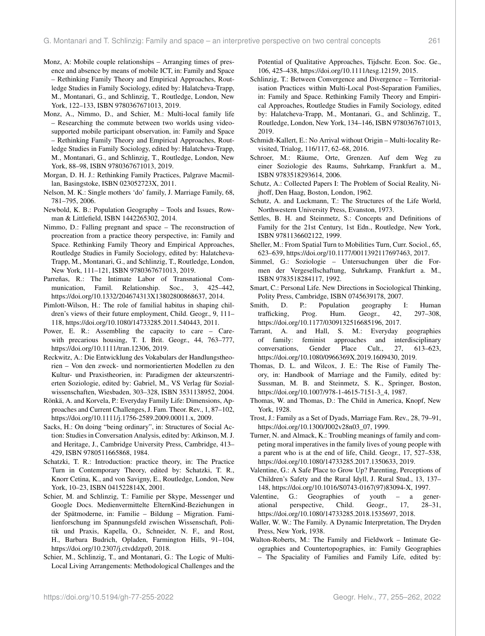- Monz, A: Mobile couple relationships Arranging times of presence and absence by means of mobile ICT, in: Family and Space – Rethinking Family Theory and Empirical Approaches, Routledge Studies in Family Sociology, edited by: Halatcheva-Trapp, M., Montanari, G., and Schlinzig, T., Routledge, London, New York, 122–133, ISBN 9780367671013, 2019.
- Monz, A., Nimmo, D., and Schier, M.: Multi-local family life – Researching the commute between two worlds using videosupported mobile participant observation, in: Family and Space – Rethinking Family Theory and Empirical Approaches, Routledge Studies in Family Sociology, edited by: Halatcheva-Trapp, M., Montanari, G., and Schlinzig, T., Routledge, London, New York, 88–98, ISBN 9780367671013, 2019.
- Morgan, D. H. J.: Rethinking Family Practices, Palgrave Macmillan, Basingstoke, ISBN 023052723X, 2011.
- Nelson, M. K.: Single mothers 'do' family, J. Marriage Family, 68, 781–795, 2006.
- Newbold, K. B.: Population Geography Tools and Issues, Rowman & Littlefield, ISBN 1442265302, 2014.
- Nimmo, D.: Falling pregnant and space The reconstruction of procreation from a practice theory perspective, in: Family and Space. Rethinking Family Theory and Empirical Approaches, Routledge Studies in Family Sociology, edited by: Halatcheva-Trapp, M., Montanari, G., and Schlinzig, T., Routledge, London, New York, 111–121, ISBN 9780367671013, 2019.
- Parreñas, R.: The Intimate Labor of Transnational Communication, Famil. Relationship. Soc., 3, 425–442, https://doi.org[/10.1332/204674313X13802800868637,](https://doi.org/10.1332/204674313X13802800868637) 2014.
- Pimlott-Wilson, H.: The role of familial habitus in shaping children's views of their future employment, Child. Geogr., 9, 111– 118, https://doi.org[/10.1080/14733285.2011.540443,](https://doi.org/10.1080/14733285.2011.540443) 2011.
- Power, E. R.: Assembling the capacity to care Carewith precarious housing, T. I. Brit. Geogr., 44, 763–777, https://doi.org[/10.1111/tran.12306,](https://doi.org/10.1111/tran.12306) 2019.
- Reckwitz, A.: Die Entwicklung des Vokabulars der Handlungstheorien – Von den zweck- und normorientierten Modellen zu den Kultur- und Praxistheorien, in: Paradigmen der akteurszentrierten Soziologie, edited by: Gabriel, M., VS Verlag für Sozialwissenschaften, Wiesbaden, 303–328, ISBN 3531138952, 2004.
- Rönkä, A. and Korvela, P.: Everyday Family Life: Dimensions, Approaches and Current Challenges, J. Fam. Theor. Rev., 1, 87–102, https://doi.org[/10.1111/j.1756-2589.2009.00011.x,](https://doi.org/10.1111/j.1756-2589.2009.00011.x) 2009.
- Sacks, H.: On doing "being ordinary", in: Structures of Social Action: Studies in Conversation Analysis, edited by: Atkinson, M. J. and Heritage, J., Cambridge University Press, Cambridge, 413– 429, ISBN 9780511665868, 1984.
- Schatzki, T. R.: Introduction: practice theory, in: The Practice Turn in Contemporary Theory, edited by: Schatzki, T. R., Knorr Cetina, K., and von Savigny, E., Routledge, London, New York, 10–23, ISBN 041522814X, 2001.
- Schier, M. and Schlinzig, T.: Familie per Skype, Messenger und Google Docs. Medienvermittelte ElternKind-Beziehungen in der Spätmoderne, in: Familie – Bildung – Migration. Familienforschung im Spannungsfeld zwischen Wissenschaft, Politik und Praxis, Kapella, O., Schneider, N. F., and Rost, H., Barbara Budrich, Opladen, Farmington Hills, 91–104, https://doi.org[/10.2307/j.ctvddzpz0,](https://doi.org/10.2307/j.ctvddzpz0) 2018.
- Schier, M., Schlinzig, T., and Montanari, G.: The Logic of Multi-Local Living Arrangements: Methodological Challenges and the

Potential of Qualitative Approaches, Tijdschr. Econ. Soc. Ge., 106, 425–438, https://doi.org[/10.1111/tesg.12159,](https://doi.org/10.1111/tesg.12159) 2015.

- Schlinzig, T.: Between Convergence and Divergence Territorialisation Practices within Multi-Local Post-Separation Families, in: Family and Space. Rethinking Family Theory and Empirical Approaches, Routledge Studies in Family Sociology, edited by: Halatcheva-Trapp, M., Montanari, G., and Schlinzig, T., Routledge, London, New York, 134–146, ISBN 9780367671013, 2019.
- Schmidt-Kallert, E.: No Arrival without Origin Multi-locality Revisited, Trialog, 116/117, 62–68, 2016.
- Schroer, M.: Räume, Orte, Grenzen. Auf dem Weg zu einer Soziologie des Raums, Suhrkamp, Frankfurt a. M., ISBN 9783518293614, 2006.
- Schutz, A.: Collected Papers I: The Problem of Social Reality, Nijhoff, Den Haag, Boston, London, 1962.
- Schutz, A. and Luckmann, T.: The Structures of the Life World, Northwestern University Press, Evanston, 1973.
- Settles, B. H. and Steinmetz, S.: Concepts and Definitions of Family for the 21st Century, 1st Edn., Routledge, New York, ISBN 9781136602122, 1999.
- Sheller, M.: From Spatial Turn to Mobilities Turn, Curr. Sociol., 65, 623–639, https://doi.org[/10.1177/0011392117697463,](https://doi.org/10.1177/0011392117697463) 2017.
- Simmel, G.: Soziologie Untersuchungen über die Formen der Vergesellschaftung, Suhrkamp, Frankfurt a. M., ISBN 9783518284117, 1992.
- Smart, C.: Personal Life. New Directions in Sociological Thinking, Polity Press, Cambridge, ISBN 0745639178, 2007.
- Smith, D. P.: Population geography I: Human trafficking, Prog. Hum. Geogr., 42, 297–308, https://doi.org[/10.1177/0309132516685196,](https://doi.org/10.1177/0309132516685196) 2017.
- Tarrant, A. and Hall, S. M.: Everyday geographies of family: feminist approaches and interdisciplinary conversations, Gender Place Cult., 27, 613–623, https://doi.org[/10.1080/0966369X.2019.1609430,](https://doi.org/10.1080/0966369X.2019.1609430) 2019.
- Thomas, D. L. and Wilcox, J. E.: The Rise of Family Theory, in: Handbook of Marriage and the Family, edited by: Sussman, M. B. and Steinmetz, S. K., Springer, Boston, https://doi.org[/10.1007/978-1-4615-7151-3\\_4,](https://doi.org/10.1007/978-1-4615-7151-3_4) 1987.
- Thomas, W. and Thomas, D.: The Child in America, Knopf, New York, 1928.
- Trost, J.: Family as a Set of Dyads, Marriage Fam. Rev., 28, 79–91, https://doi.org[/10.1300/J002v28n03\\_07,](https://doi.org/10.1300/J002v28n03_07) 1999.
- Turner, N. and Almack, K.: Troubling meanings of family and competing moral imperatives in the family lives of young people with a parent who is at the end of life, Child. Geogr., 17, 527–538, https://doi.org[/10.1080/14733285.2017.1350633,](https://doi.org/10.1080/14733285.2017.1350633) 2019.
- Valentine, G.: A Safe Place to Grow Up? Parenting, Perceptions of Children's Safety and the Rural Idyll, J. Rural Stud., 13, 137– 148, https://doi.org[/10.1016/S0743-0167\(97\)83094-X,](https://doi.org/10.1016/S0743-0167(97)83094-X) 1997.
- Valentine, G.: Geographies of youth a generational perspective, Child. Geogr., 17, 28–31, https://doi.org[/10.1080/14733285.2018.1535697,](https://doi.org/10.1080/14733285.2018.1535697) 2018.
- Waller, W. W.: The Family. A Dynamic Interpretation, The Dryden Press, New York, 1938.
- Walton-Roberts, M.: The Family and Fieldwork Intimate Geographies and Countertopographies, in: Family Geographies – The Spaciality of Families and Family Life, edited by: